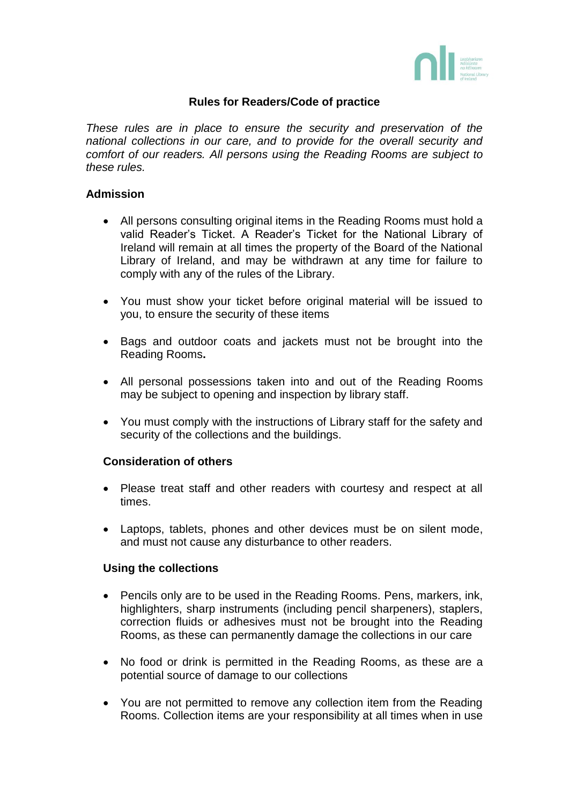

## **Rules for Readers/Code of practice**

*These rules are in place to ensure the security and preservation of the national collections in our care, and to provide for the overall security and comfort of our readers. All persons using the Reading Rooms are subject to these rules.*

## **Admission**

- All persons consulting original items in the Reading Rooms must hold a valid Reader's Ticket. A Reader's Ticket for the National Library of Ireland will remain at all times the property of the Board of the National Library of Ireland, and may be withdrawn at any time for failure to comply with any of the rules of the Library.
- You must show your ticket before original material will be issued to you, to ensure the security of these items
- Bags and outdoor coats and jackets must not be brought into the Reading Rooms**.**
- All personal possessions taken into and out of the Reading Rooms may be subject to opening and inspection by library staff.
- You must comply with the instructions of Library staff for the safety and security of the collections and the buildings.

## **Consideration of others**

- Please treat staff and other readers with courtesy and respect at all times.
- Laptops, tablets, phones and other devices must be on silent mode, and must not cause any disturbance to other readers.

## **Using the collections**

- Pencils only are to be used in the Reading Rooms. Pens, markers, ink, highlighters, sharp instruments (including pencil sharpeners), staplers, correction fluids or adhesives must not be brought into the Reading Rooms, as these can permanently damage the collections in our care
- No food or drink is permitted in the Reading Rooms, as these are a potential source of damage to our collections
- You are not permitted to remove any collection item from the Reading Rooms. Collection items are your responsibility at all times when in use